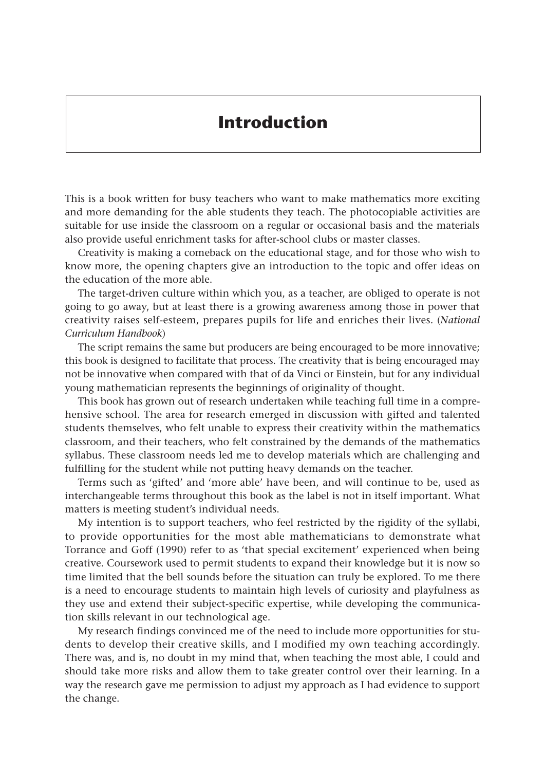## **Introduction**

This is a book written for busy teachers who want to make mathematics more exciting and more demanding for the able students they teach. The photocopiable activities are suitable for use inside the classroom on a regular or occasional basis and the materials also provide useful enrichment tasks for after-school clubs or master classes.

Creativity is making a comeback on the educational stage, and for those who wish to know more, the opening chapters give an introduction to the topic and offer ideas on the education of the more able.

The target-driven culture within which you, as a teacher, are obliged to operate is not going to go away, but at least there is a growing awareness among those in power that creativity raises self-esteem, prepares pupils for life and enriches their lives. (*National Curriculum Handbook*)

The script remains the same but producers are being encouraged to be more innovative; this book is designed to facilitate that process. The creativity that is being encouraged may not be innovative when compared with that of da Vinci or Einstein, but for any individual young mathematician represents the beginnings of originality of thought.

This book has grown out of research undertaken while teaching full time in a comprehensive school. The area for research emerged in discussion with gifted and talented students themselves, who felt unable to express their creativity within the mathematics classroom, and their teachers, who felt constrained by the demands of the mathematics syllabus. These classroom needs led me to develop materials which are challenging and fulfilling for the student while not putting heavy demands on the teacher.

Terms such as 'gifted' and 'more able' have been, and will continue to be, used as interchangeable terms throughout this book as the label is not in itself important. What matters is meeting student's individual needs.

My intention is to support teachers, who feel restricted by the rigidity of the syllabi, to provide opportunities for the most able mathematicians to demonstrate what Torrance and Goff (1990) refer to as 'that special excitement' experienced when being creative. Coursework used to permit students to expand their knowledge but it is now so time limited that the bell sounds before the situation can truly be explored. To me there is a need to encourage students to maintain high levels of curiosity and playfulness as they use and extend their subject-specific expertise, while developing the communication skills relevant in our technological age.

My research findings convinced me of the need to include more opportunities for students to develop their creative skills, and I modified my own teaching accordingly. There was, and is, no doubt in my mind that, when teaching the most able, I could and should take more risks and allow them to take greater control over their learning. In a way the research gave me permission to adjust my approach as I had evidence to support the change.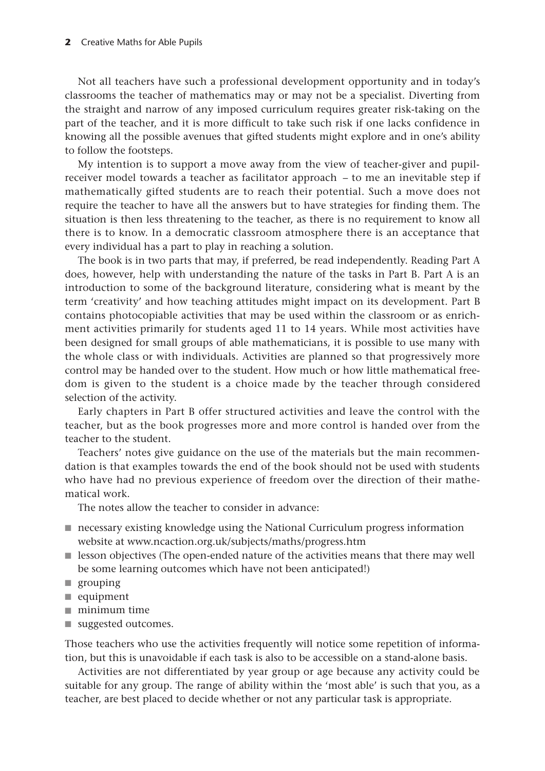Not all teachers have such a professional development opportunity and in today's classrooms the teacher of mathematics may or may not be a specialist. Diverting from the straight and narrow of any imposed curriculum requires greater risk-taking on the part of the teacher, and it is more difficult to take such risk if one lacks confidence in knowing all the possible avenues that gifted students might explore and in one's ability to follow the footsteps.

My intention is to support a move away from the view of teacher-giver and pupilreceiver model towards a teacher as facilitator approach – to me an inevitable step if mathematically gifted students are to reach their potential. Such a move does not require the teacher to have all the answers but to have strategies for finding them. The situation is then less threatening to the teacher, as there is no requirement to know all there is to know. In a democratic classroom atmosphere there is an acceptance that every individual has a part to play in reaching a solution.

The book is in two parts that may, if preferred, be read independently. Reading Part A does, however, help with understanding the nature of the tasks in Part B. Part A is an introduction to some of the background literature, considering what is meant by the term 'creativity' and how teaching attitudes might impact on its development. Part B contains photocopiable activities that may be used within the classroom or as enrichment activities primarily for students aged 11 to 14 years. While most activities have been designed for small groups of able mathematicians, it is possible to use many with the whole class or with individuals. Activities are planned so that progressively more control may be handed over to the student. How much or how little mathematical freedom is given to the student is a choice made by the teacher through considered selection of the activity.

Early chapters in Part B offer structured activities and leave the control with the teacher, but as the book progresses more and more control is handed over from the teacher to the student.

Teachers' notes give guidance on the use of the materials but the main recommendation is that examples towards the end of the book should not be used with students who have had no previous experience of freedom over the direction of their mathematical work.

The notes allow the teacher to consider in advance:

- necessary existing knowledge using the National Curriculum progress information website at www.ncaction.org.uk/subjects/maths/progress.htm
- lesson objectives (The open-ended nature of the activities means that there may well be some learning outcomes which have not been anticipated!)
- **■** grouping
- **■** equipment
- **■** minimum time
- suggested outcomes.

Those teachers who use the activities frequently will notice some repetition of information, but this is unavoidable if each task is also to be accessible on a stand-alone basis.

Activities are not differentiated by year group or age because any activity could be suitable for any group. The range of ability within the 'most able' is such that you, as a teacher, are best placed to decide whether or not any particular task is appropriate.